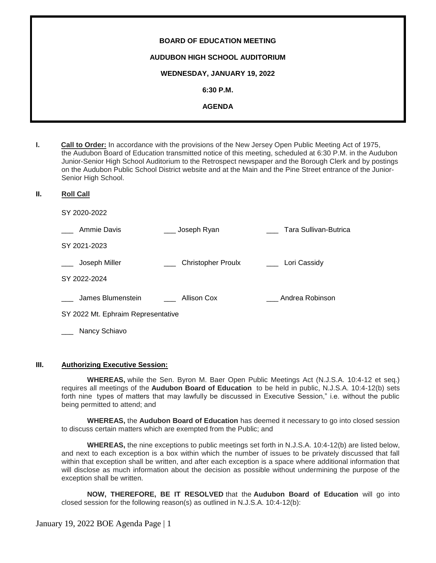| <b>BOARD OF EDUCATION MEETING</b>     |
|---------------------------------------|
| <b>AUDUBON HIGH SCHOOL AUDITORIUM</b> |
| WEDNESDAY, JANUARY 19, 2022           |
| $6:30$ P.M.                           |
| <b>AGENDA</b>                         |
|                                       |

- **I. Call to Order:** In accordance with the provisions of the New Jersey Open Public Meeting Act of 1975, the Audubon Board of Education transmitted notice of this meeting, scheduled at 6:30 P.M. in the Audubon Junior-Senior High School Auditorium to the Retrospect newspaper and the Borough Clerk and by postings on the Audubon Public School District website and at the Main and the Pine Street entrance of the Junior-Senior High School.
- **II. Roll Call**

SY 2020-2022

| Ammie Davis                        | Joseph Ryan               | Tara Sullivan-Butrica |
|------------------------------------|---------------------------|-----------------------|
| SY 2021-2023                       |                           |                       |
| Joseph Miller                      | <b>Christopher Proulx</b> | Lori Cassidy          |
| SY 2022-2024                       |                           |                       |
| James Blumenstein                  | Allison Cox               | Andrea Robinson       |
| SY 2022 Mt. Ephraim Representative |                           |                       |
| Nancy Schiavo                      |                           |                       |

#### **III. Authorizing Executive Session:**

**WHEREAS,** while the Sen. Byron M. Baer Open Public Meetings Act (N.J.S.A. 10:4-12 et seq.) requires all meetings of the **Audubon Board of Education** to be held in public, N.J.S.A. 10:4-12(b) sets forth nine types of matters that may lawfully be discussed in Executive Session," i.e. without the public being permitted to attend; and

**WHEREAS,** the **Audubon Board of Education** has deemed it necessary to go into closed session to discuss certain matters which are exempted from the Public; and

**WHEREAS,** the nine exceptions to public meetings set forth in N.J.S.A. 10:4-12(b) are listed below, and next to each exception is a box within which the number of issues to be privately discussed that fall within that exception shall be written, and after each exception is a space where additional information that will disclose as much information about the decision as possible without undermining the purpose of the exception shall be written.

**NOW, THEREFORE, BE IT RESOLVED** that the **Audubon Board of Education** will go into closed session for the following reason(s) as outlined in N.J.S.A. 10:4-12(b):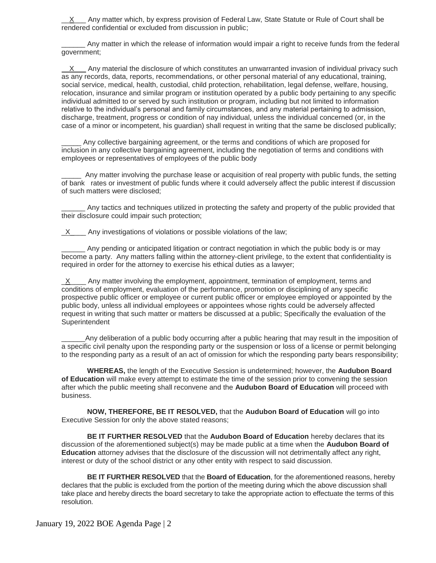X Any matter which, by express provision of Federal Law, State Statute or Rule of Court shall be rendered confidential or excluded from discussion in public;

Any matter in which the release of information would impair a right to receive funds from the federal government;

 X Any material the disclosure of which constitutes an unwarranted invasion of individual privacy such as any records, data, reports, recommendations, or other personal material of any educational, training, social service, medical, health, custodial, child protection, rehabilitation, legal defense, welfare, housing, relocation, insurance and similar program or institution operated by a public body pertaining to any specific individual admitted to or served by such institution or program, including but not limited to information relative to the individual's personal and family circumstances, and any material pertaining to admission, discharge, treatment, progress or condition of nay individual, unless the individual concerned (or, in the case of a minor or incompetent, his guardian) shall request in writing that the same be disclosed publically;

Any collective bargaining agreement, or the terms and conditions of which are proposed for inclusion in any collective bargaining agreement, including the negotiation of terms and conditions with employees or representatives of employees of the public body

Any matter involving the purchase lease or acquisition of real property with public funds, the setting of bank rates or investment of public funds where it could adversely affect the public interest if discussion of such matters were disclosed;

Any tactics and techniques utilized in protecting the safety and property of the public provided that their disclosure could impair such protection;

 $X$  Any investigations of violations or possible violations of the law;

Any pending or anticipated litigation or contract negotiation in which the public body is or may become a party. Any matters falling within the attorney-client privilege, to the extent that confidentiality is required in order for the attorney to exercise his ethical duties as a lawyer;

 $\underline{X}$  Any matter involving the employment, appointment, termination of employment, terms and conditions of employment, evaluation of the performance, promotion or disciplining of any specific prospective public officer or employee or current public officer or employee employed or appointed by the public body, unless all individual employees or appointees whose rights could be adversely affected request in writing that such matter or matters be discussed at a public; Specifically the evaluation of the Superintendent

Any deliberation of a public body occurring after a public hearing that may result in the imposition of a specific civil penalty upon the responding party or the suspension or loss of a license or permit belonging to the responding party as a result of an act of omission for which the responding party bears responsibility;

**WHEREAS,** the length of the Executive Session is undetermined; however, the **Audubon Board of Education** will make every attempt to estimate the time of the session prior to convening the session after which the public meeting shall reconvene and the **Audubon Board of Education** will proceed with business.

**NOW, THEREFORE, BE IT RESOLVED,** that the **Audubon Board of Education** will go into Executive Session for only the above stated reasons;

**BE IT FURTHER RESOLVED** that the **Audubon Board of Education** hereby declares that its discussion of the aforementioned subject(s) may be made public at a time when the **Audubon Board of Education** attorney advises that the disclosure of the discussion will not detrimentally affect any right, interest or duty of the school district or any other entity with respect to said discussion.

**BE IT FURTHER RESOLVED** that the **Board of Education**, for the aforementioned reasons, hereby declares that the public is excluded from the portion of the meeting during which the above discussion shall take place and hereby directs the board secretary to take the appropriate action to effectuate the terms of this resolution.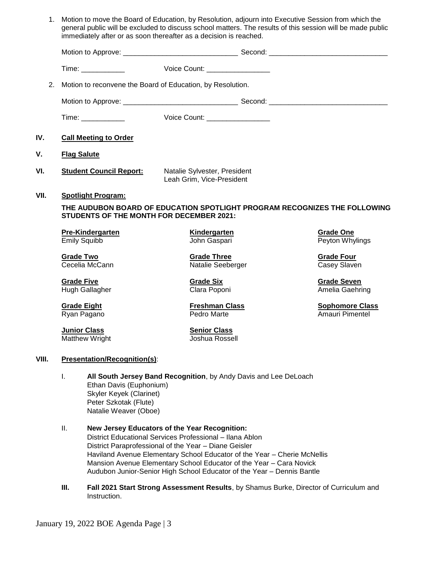| 1.    |                                                                                                                                                                                                                                | Motion to move the Board of Education, by Resolution, adjourn into Executive Session from which the<br>general public will be excluded to discuss school matters. The results of this session will be made public<br>immediately after or as soon thereafter as a decision is reached.                                                                                                          |                                           |
|-------|--------------------------------------------------------------------------------------------------------------------------------------------------------------------------------------------------------------------------------|-------------------------------------------------------------------------------------------------------------------------------------------------------------------------------------------------------------------------------------------------------------------------------------------------------------------------------------------------------------------------------------------------|-------------------------------------------|
|       |                                                                                                                                                                                                                                |                                                                                                                                                                                                                                                                                                                                                                                                 |                                           |
|       | Time: the contract of the contract of the contract of the contract of the contract of the contract of the contract of the contract of the contract of the contract of the contract of the contract of the contract of the cont | Voice Count: <u>_______________</u>                                                                                                                                                                                                                                                                                                                                                             |                                           |
| 2.    |                                                                                                                                                                                                                                | Motion to reconvene the Board of Education, by Resolution.                                                                                                                                                                                                                                                                                                                                      |                                           |
|       |                                                                                                                                                                                                                                |                                                                                                                                                                                                                                                                                                                                                                                                 |                                           |
|       |                                                                                                                                                                                                                                | Voice Count: _________________                                                                                                                                                                                                                                                                                                                                                                  |                                           |
| IV.   | <b>Call Meeting to Order</b>                                                                                                                                                                                                   |                                                                                                                                                                                                                                                                                                                                                                                                 |                                           |
| ۷.    | <b>Flag Salute</b>                                                                                                                                                                                                             |                                                                                                                                                                                                                                                                                                                                                                                                 |                                           |
| VI.   | <b>Student Council Report:</b>                                                                                                                                                                                                 | Natalie Sylvester, President<br>Leah Grim, Vice-President                                                                                                                                                                                                                                                                                                                                       |                                           |
| VII.  | <b>Spotlight Program:</b><br><b>STUDENTS OF THE MONTH FOR DECEMBER 2021:</b>                                                                                                                                                   | THE AUDUBON BOARD OF EDUCATION SPOTLIGHT PROGRAM RECOGNIZES THE FOLLOWING                                                                                                                                                                                                                                                                                                                       |                                           |
|       | <b>Pre-Kindergarten</b><br><b>Emily Squibb</b>                                                                                                                                                                                 | <b>Kindergarten</b><br>John Gaspari                                                                                                                                                                                                                                                                                                                                                             | <b>Grade One</b><br>Peyton Whylings       |
|       | <b>Grade Two</b><br>Cecelia McCann                                                                                                                                                                                             | <b>Grade Three</b><br>Natalie Seeberger                                                                                                                                                                                                                                                                                                                                                         | <b>Grade Four</b><br>Casey Slaven         |
|       | <b>Grade Five</b><br>Hugh Gallagher                                                                                                                                                                                            | <b>Grade Six</b><br>Clara Poponi                                                                                                                                                                                                                                                                                                                                                                | <b>Grade Seven</b><br>Amelia Gaehring     |
|       | <b>Grade Eight</b><br>Ryan Pagano                                                                                                                                                                                              | <b>Freshman Class</b><br>Pedro Marte                                                                                                                                                                                                                                                                                                                                                            | <b>Sophomore Class</b><br>Amauri Pimentel |
|       | <b>Junior Class</b><br>Matthew Wright                                                                                                                                                                                          | <b>Senior Class</b><br>Joshua Rossell                                                                                                                                                                                                                                                                                                                                                           |                                           |
| VIII. | <b>Presentation/Recognition(s):</b>                                                                                                                                                                                            |                                                                                                                                                                                                                                                                                                                                                                                                 |                                           |
|       | I.<br>Ethan Davis (Euphonium)<br>Skyler Keyek (Clarinet)<br>Peter Szkotak (Flute)<br>Natalie Weaver (Oboe)                                                                                                                     | All South Jersey Band Recognition, by Andy Davis and Lee DeLoach                                                                                                                                                                                                                                                                                                                                |                                           |
|       | Ш.                                                                                                                                                                                                                             | New Jersey Educators of the Year Recognition:<br>District Educational Services Professional - Ilana Ablon<br>District Paraprofessional of the Year - Diane Geisler<br>Haviland Avenue Elementary School Educator of the Year - Cherie McNellis<br>Mansion Avenue Elementary School Educator of the Year - Cara Novick<br>Audubon Junior-Senior High School Educator of the Year - Dennis Bantle |                                           |

**III. Fall 2021 Start Strong Assessment Results**, by Shamus Burke, Director of Curriculum and Instruction.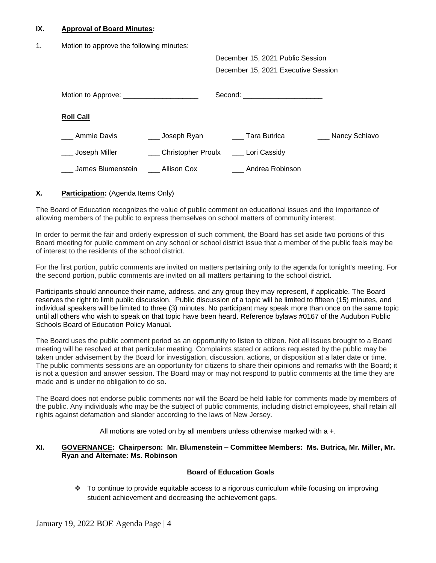#### **IX. Approval of Board Minutes:**

1. Motion to approve the following minutes:

December 15, 2021 Public Session December 15, 2021 Executive Session

|                    |                    | Second: the contract of the contract of the contract of the contract of the contract of the contract of the contract of the contract of the contract of the contract of the contract of the contract of the contract of the co |                   |
|--------------------|--------------------|--------------------------------------------------------------------------------------------------------------------------------------------------------------------------------------------------------------------------------|-------------------|
| <b>Roll Call</b>   |                    |                                                                                                                                                                                                                                |                   |
| <b>Ammie Davis</b> | ___ Joseph Ryan    | Tara Butrica                                                                                                                                                                                                                   | ___ Nancy Schiavo |
| Joseph Miller      | Christopher Proulx | Lori Cassidy                                                                                                                                                                                                                   |                   |
| James Blumenstein  | Allison Cox        | Andrea Robinson                                                                                                                                                                                                                |                   |

## **X. Participation:** (Agenda Items Only)

The Board of Education recognizes the value of public comment on educational issues and the importance of allowing members of the public to express themselves on school matters of community interest.

In order to permit the fair and orderly expression of such comment, the Board has set aside two portions of this Board meeting for public comment on any school or school district issue that a member of the public feels may be of interest to the residents of the school district.

For the first portion, public comments are invited on matters pertaining only to the agenda for tonight's meeting. For the second portion, public comments are invited on all matters pertaining to the school district.

Participants should announce their name, address, and any group they may represent, if applicable. The Board reserves the right to limit public discussion. Public discussion of a topic will be limited to fifteen (15) minutes, and individual speakers will be limited to three (3) minutes. No participant may speak more than once on the same topic until all others who wish to speak on that topic have been heard. Reference bylaws #0167 of the Audubon Public Schools Board of Education Policy Manual.

The Board uses the public comment period as an opportunity to listen to citizen. Not all issues brought to a Board meeting will be resolved at that particular meeting. Complaints stated or actions requested by the public may be taken under advisement by the Board for investigation, discussion, actions, or disposition at a later date or time. The public comments sessions are an opportunity for citizens to share their opinions and remarks with the Board; it is not a question and answer session. The Board may or may not respond to public comments at the time they are made and is under no obligation to do so.

The Board does not endorse public comments nor will the Board be held liable for comments made by members of the public. Any individuals who may be the subject of public comments, including district employees, shall retain all rights against defamation and slander according to the laws of New Jersey.

All motions are voted on by all members unless otherwise marked with a +.

#### **XI. GOVERNANCE: Chairperson: Mr. Blumenstein – Committee Members: Ms. Butrica, Mr. Miller, Mr. Ryan and Alternate: Ms. Robinson**

#### **Board of Education Goals**

 To continue to provide equitable access to a rigorous curriculum while focusing on improving student achievement and decreasing the achievement gaps.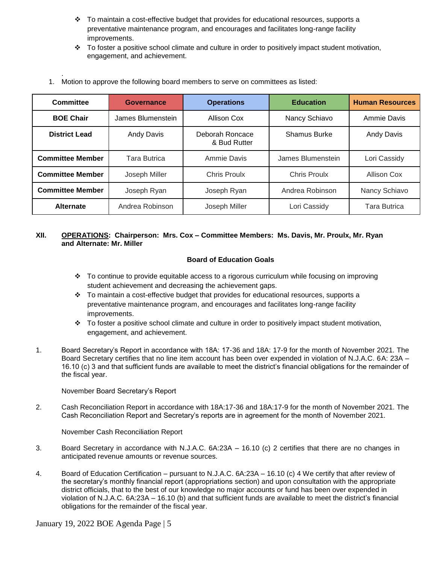- $\div$  To maintain a cost-effective budget that provides for educational resources, supports a preventative maintenance program, and encourages and facilitates long-range facility improvements.
- $\cdot \cdot$  To foster a positive school climate and culture in order to positively impact student motivation, engagement, and achievement.

| Committee               | Governance        | <b>Operations</b>               | <b>Education</b>    | <b>Human Resources</b> |
|-------------------------|-------------------|---------------------------------|---------------------|------------------------|
| <b>BOE Chair</b>        | James Blumenstein | Allison Cox                     | Nancy Schiavo       | Ammie Davis            |
| <b>District Lead</b>    | Andy Davis        | Deborah Roncace<br>& Bud Rutter | Shamus Burke        | Andy Davis             |
| <b>Committee Member</b> | Tara Butrica      | Ammie Davis                     | James Blumenstein   | Lori Cassidy           |
| <b>Committee Member</b> | Joseph Miller     | <b>Chris Proulx</b>             | <b>Chris Proulx</b> | <b>Allison Cox</b>     |
| <b>Committee Member</b> | Joseph Ryan       | Joseph Ryan                     | Andrea Robinson     | Nancy Schiavo          |
| <b>Alternate</b>        | Andrea Robinson   | Joseph Miller                   | Lori Cassidy        | <b>Tara Butrica</b>    |

1. Motion to approve the following board members to serve on committees as listed:

## **XII. OPERATIONS: Chairperson: Mrs. Cox – Committee Members: Ms. Davis, Mr. Proulx, Mr. Ryan and Alternate: Mr. Miller**

## **Board of Education Goals**

- $\div$  To continue to provide equitable access to a rigorous curriculum while focusing on improving student achievement and decreasing the achievement gaps.
- $\div$  To maintain a cost-effective budget that provides for educational resources, supports a preventative maintenance program, and encourages and facilitates long-range facility improvements.
- $\cdot \cdot$  To foster a positive school climate and culture in order to positively impact student motivation, engagement, and achievement.
- 1. Board Secretary's Report in accordance with 18A: 17-36 and 18A: 17-9 for the month of November 2021. The Board Secretary certifies that no line item account has been over expended in violation of N.J.A.C. 6A: 23A – 16.10 (c) 3 and that sufficient funds are available to meet the district's financial obligations for the remainder of the fiscal year.

November Board Secretary's Report

.

2. Cash Reconciliation Report in accordance with 18A:17-36 and 18A:17-9 for the month of November 2021. The Cash Reconciliation Report and Secretary's reports are in agreement for the month of November 2021.

November Cash Reconciliation Report

- 3.Board Secretary in accordance with N.J.A.C. 6A:23A 16.10 (c) 2 certifies that there are no changes in anticipated revenue amounts or revenue sources.
- 4. Board of Education Certification pursuant to N.J.A.C. 6A:23A 16.10 (c) 4 We certify that after review of the secretary's monthly financial report (appropriations section) and upon consultation with the appropriate district officials, that to the best of our knowledge no major accounts or fund has been over expended in violation of N.J.A.C. 6A:23A – 16.10 (b) and that sufficient funds are available to meet the district's financial obligations for the remainder of the fiscal year.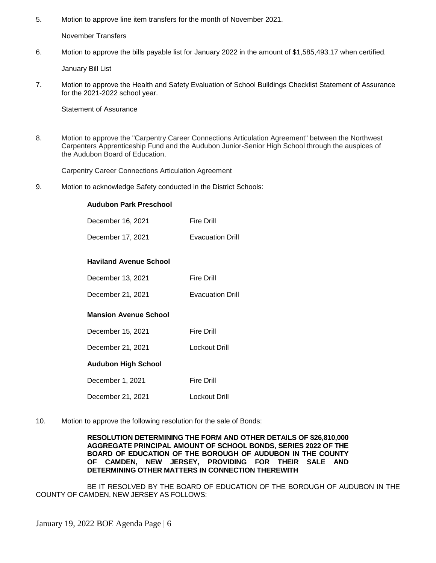5. Motion to approve line item transfers for the month of November 2021.

November Transfers

6. Motion to approve the bills payable list for January 2022 in the amount of \$1,585,493.17 when certified.

January Bill List

7. Motion to approve the Health and Safety Evaluation of School Buildings Checklist Statement of Assurance for the 2021-2022 school year.

Statement of Assurance

8. Motion to approve the "Carpentry Career Connections Articulation Agreement" between the Northwest Carpenters Apprenticeship Fund and the Audubon Junior-Senior High School through the auspices of the Audubon Board of Education.

Carpentry Career Connections Articulation Agreement

9. Motion to acknowledge Safety conducted in the District Schools:

### **Audubon Park Preschool**

| December 16, 2021             | Fire Drill              |
|-------------------------------|-------------------------|
| December 17, 2021             | <b>Evacuation Drill</b> |
|                               |                         |
| <b>Haviland Avenue School</b> |                         |
| December 13, 2021             | <b>Fire Drill</b>       |
| December 21, 2021             | <b>Evacuation Drill</b> |
| <b>Mansion Avenue School</b>  |                         |
| December 15, 2021             | Fire Drill              |
| December 21, 2021             | Lockout Drill           |
| Audubon High School           |                         |
| December 1, 2021              | Fire Drill              |
| December 21, 2021             | Lockout Drill           |

10. Motion to approve the following resolution for the sale of Bonds:

**RESOLUTION DETERMINING THE FORM AND OTHER DETAILS OF \$26,810,000 AGGREGATE PRINCIPAL AMOUNT OF SCHOOL BONDS, SERIES 2022 OF THE BOARD OF EDUCATION OF THE BOROUGH OF AUDUBON IN THE COUNTY OF CAMDEN, NEW JERSEY, PROVIDING FOR THEIR SALE AND DETERMINING OTHER MATTERS IN CONNECTION THEREWITH**

BE IT RESOLVED BY THE BOARD OF EDUCATION OF THE BOROUGH OF AUDUBON IN THE COUNTY OF CAMDEN, NEW JERSEY AS FOLLOWS: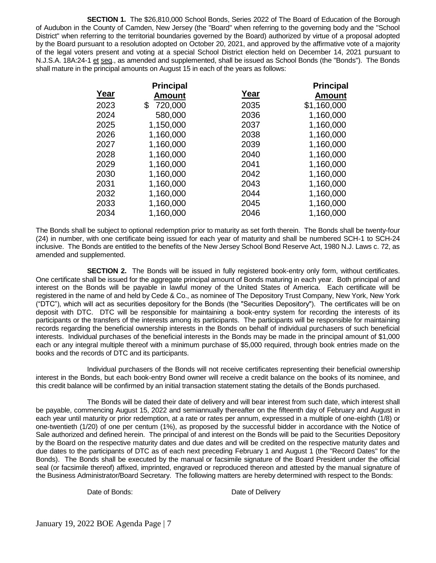**SECTION 1.** The \$26,810,000 School Bonds, Series 2022 of The Board of Education of the Borough of Audubon in the County of Camden, New Jersey (the "Board" when referring to the governing body and the "School District" when referring to the territorial boundaries governed by the Board) authorized by virtue of a proposal adopted by the Board pursuant to a resolution adopted on October 20, 2021, and approved by the affirmative vote of a majority of the legal voters present and voting at a special School District election held on December 14, 2021 pursuant to N.J.S.A. 18A:24-1 et seq., as amended and supplemented, shall be issued as School Bonds (the "Bonds"). The Bonds shall mature in the principal amounts on August 15 in each of the years as follows:

|      | <b>Principal</b> |      | <b>Principal</b> |
|------|------------------|------|------------------|
| Year | <b>Amount</b>    | Year | <b>Amount</b>    |
| 2023 | 720,000<br>\$    | 2035 | \$1,160,000      |
| 2024 | 580,000          | 2036 | 1,160,000        |
| 2025 | 1,150,000        | 2037 | 1,160,000        |
| 2026 | 1,160,000        | 2038 | 1,160,000        |
| 2027 | 1,160,000        | 2039 | 1,160,000        |
| 2028 | 1,160,000        | 2040 | 1,160,000        |
| 2029 | 1,160,000        | 2041 | 1,160,000        |
| 2030 | 1,160,000        | 2042 | 1,160,000        |
| 2031 | 1,160,000        | 2043 | 1,160,000        |
| 2032 | 1,160,000        | 2044 | 1,160,000        |
| 2033 | 1,160,000        | 2045 | 1,160,000        |
| 2034 | 1,160,000        | 2046 | 1,160,000        |

The Bonds shall be subject to optional redemption prior to maturity as set forth therein. The Bonds shall be twenty-four (24) in number, with one certificate being issued for each year of maturity and shall be numbered SCH-1 to SCH-24 inclusive. The Bonds are entitled to the benefits of the New Jersey School Bond Reserve Act, 1980 N.J. Laws c. 72, as amended and supplemented.

**SECTION 2.** The Bonds will be issued in fully registered book-entry only form, without certificates. One certificate shall be issued for the aggregate principal amount of Bonds maturing in each year. Both principal of and interest on the Bonds will be payable in lawful money of the United States of America. Each certificate will be registered in the name of and held by Cede & Co., as nominee of The Depository Trust Company, New York, New York ("DTC"), which will act as securities depository for the Bonds (the "Securities Depository"). The certificates will be on deposit with DTC. DTC will be responsible for maintaining a book-entry system for recording the interests of its participants or the transfers of the interests among its participants. The participants will be responsible for maintaining records regarding the beneficial ownership interests in the Bonds on behalf of individual purchasers of such beneficial interests. Individual purchases of the beneficial interests in the Bonds may be made in the principal amount of \$1,000 each or any integral multiple thereof with a minimum purchase of \$5,000 required, through book entries made on the books and the records of DTC and its participants.

Individual purchasers of the Bonds will not receive certificates representing their beneficial ownership interest in the Bonds, but each book-entry Bond owner will receive a credit balance on the books of its nominee, and this credit balance will be confirmed by an initial transaction statement stating the details of the Bonds purchased.

The Bonds will be dated their date of delivery and will bear interest from such date, which interest shall be payable, commencing August 15, 2022 and semiannually thereafter on the fifteenth day of February and August in each year until maturity or prior redemption, at a rate or rates per annum, expressed in a multiple of one-eighth (1/8) or one-twentieth (1/20) of one per centum (1%), as proposed by the successful bidder in accordance with the Notice of Sale authorized and defined herein. The principal of and interest on the Bonds will be paid to the Securities Depository by the Board on the respective maturity dates and due dates and will be credited on the respective maturity dates and due dates to the participants of DTC as of each next preceding February 1 and August 1 (the "Record Dates" for the Bonds). The Bonds shall be executed by the manual or facsimile signature of the Board President under the official seal (or facsimile thereof) affixed, imprinted, engraved or reproduced thereon and attested by the manual signature of the Business Administrator/Board Secretary. The following matters are hereby determined with respect to the Bonds:

Date of Bonds: Date of Delivery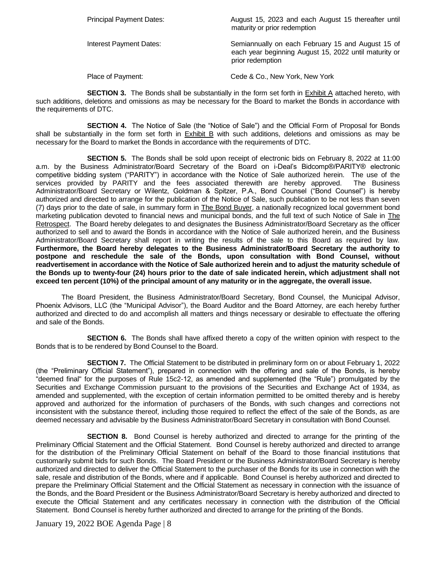Principal Payment Dates: August 15, 2023 and each August 15 thereafter until maturity or prior redemption

Interest Payment Dates: Semiannually on each February 15 and August 15 of each year beginning August 15, 2022 until maturity or prior redemption

Place of Payment: Cede & Co., New York, New York

**SECTION 3.** The Bonds shall be substantially in the form set forth in **Exhibit A** attached hereto, with such additions, deletions and omissions as may be necessary for the Board to market the Bonds in accordance with the requirements of DTC.

**SECTION 4.** The Notice of Sale (the "Notice of Sale") and the Official Form of Proposal for Bonds shall be substantially in the form set forth in Exhibit B with such additions, deletions and omissions as may be necessary for the Board to market the Bonds in accordance with the requirements of DTC.

**SECTION 5.** The Bonds shall be sold upon receipt of electronic bids on February 8, 2022 at 11:00 a.m. by the Business Administrator/Board Secretary of the Board on i-Deal's Bidcomp®/PARITY® electronic competitive bidding system ("PARITY") in accordance with the Notice of Sale authorized herein. The use of the services provided by PARITY and the fees associated therewith are hereby approved. The Business Administrator/Board Secretary or Wilentz, Goldman & Spitzer, P.A., Bond Counsel ("Bond Counsel") is hereby authorized and directed to arrange for the publication of the Notice of Sale, such publication to be not less than seven (7) days prior to the date of sale, in summary form in **The Bond Buyer**, a nationally recognized local government bond marketing publication devoted to financial news and municipal bonds, and the full text of such Notice of Sale in The Retrospect. The Board hereby delegates to and designates the Business Administrator/Board Secretary as the officer authorized to sell and to award the Bonds in accordance with the Notice of Sale authorized herein, and the Business Administrator/Board Secretary shall report in writing the results of the sale to this Board as required by law. **Furthermore, the Board hereby delegates to the Business Administrator/Board Secretary the authority to postpone and reschedule the sale of the Bonds, upon consultation with Bond Counsel, without readvertisement in accordance with the Notice of Sale authorized herein and to adjust the maturity schedule of the Bonds up to twenty-four (24) hours prior to the date of sale indicated herein, which adjustment shall not exceed ten percent (10%) of the principal amount of any maturity or in the aggregate, the overall issue.**

The Board President, the Business Administrator/Board Secretary, Bond Counsel, the Municipal Advisor, Phoenix Advisors, LLC (the "Municipal Advisor"), the Board Auditor and the Board Attorney, are each hereby further authorized and directed to do and accomplish all matters and things necessary or desirable to effectuate the offering and sale of the Bonds.

**SECTION 6.** The Bonds shall have affixed thereto a copy of the written opinion with respect to the Bonds that is to be rendered by Bond Counsel to the Board.

**SECTION 7.** The Official Statement to be distributed in preliminary form on or about February 1, 2022 (the "Preliminary Official Statement"), prepared in connection with the offering and sale of the Bonds, is hereby "deemed final" for the purposes of Rule 15c2-12, as amended and supplemented (the "Rule") promulgated by the Securities and Exchange Commission pursuant to the provisions of the Securities and Exchange Act of 1934, as amended and supplemented, with the exception of certain information permitted to be omitted thereby and is hereby approved and authorized for the information of purchasers of the Bonds, with such changes and corrections not inconsistent with the substance thereof, including those required to reflect the effect of the sale of the Bonds, as are deemed necessary and advisable by the Business Administrator/Board Secretary in consultation with Bond Counsel.

**SECTION 8.** Bond Counsel is hereby authorized and directed to arrange for the printing of the Preliminary Official Statement and the Official Statement. Bond Counsel is hereby authorized and directed to arrange for the distribution of the Preliminary Official Statement on behalf of the Board to those financial institutions that customarily submit bids for such Bonds. The Board President or the Business Administrator/Board Secretary is hereby authorized and directed to deliver the Official Statement to the purchaser of the Bonds for its use in connection with the sale, resale and distribution of the Bonds, where and if applicable. Bond Counsel is hereby authorized and directed to prepare the Preliminary Official Statement and the Official Statement as necessary in connection with the issuance of the Bonds, and the Board President or the Business Administrator/Board Secretary is hereby authorized and directed to execute the Official Statement and any certificates necessary in connection with the distribution of the Official Statement. Bond Counsel is hereby further authorized and directed to arrange for the printing of the Bonds.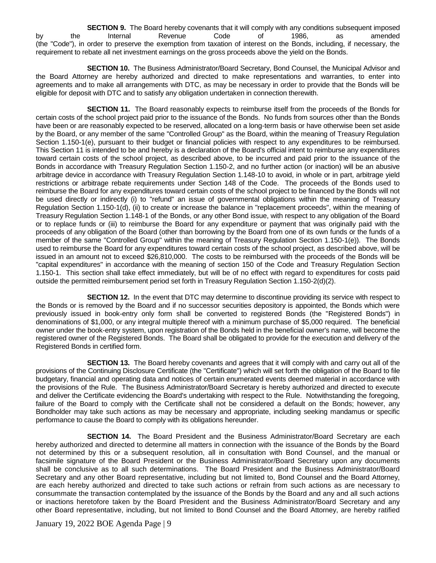**SECTION 9.** The Board hereby covenants that it will comply with any conditions subsequent imposed by the Internal Revenue Code of 1986, as amended (the "Code"), in order to preserve the exemption from taxation of interest on the Bonds, including, if necessary, the requirement to rebate all net investment earnings on the gross proceeds above the yield on the Bonds.

**SECTION 10.** The Business Administrator/Board Secretary, Bond Counsel, the Municipal Advisor and the Board Attorney are hereby authorized and directed to make representations and warranties, to enter into agreements and to make all arrangements with DTC, as may be necessary in order to provide that the Bonds will be eligible for deposit with DTC and to satisfy any obligation undertaken in connection therewith.

**SECTION 11.** The Board reasonably expects to reimburse itself from the proceeds of the Bonds for certain costs of the school project paid prior to the issuance of the Bonds. No funds from sources other than the Bonds have been or are reasonably expected to be reserved, allocated on a long-term basis or have otherwise been set aside by the Board, or any member of the same "Controlled Group" as the Board, within the meaning of Treasury Regulation Section 1.150-1(e), pursuant to their budget or financial policies with respect to any expenditures to be reimbursed. This Section 11 is intended to be and hereby is a declaration of the Board's official intent to reimburse any expenditures toward certain costs of the school project, as described above, to be incurred and paid prior to the issuance of the Bonds in accordance with Treasury Regulation Section 1.150-2, and no further action (or inaction) will be an abusive arbitrage device in accordance with Treasury Regulation Section 1.148-10 to avoid, in whole or in part, arbitrage yield restrictions or arbitrage rebate requirements under Section 148 of the Code. The proceeds of the Bonds used to reimburse the Board for any expenditures toward certain costs of the school project to be financed by the Bonds will not be used directly or indirectly (i) to "refund" an issue of governmental obligations within the meaning of Treasury Regulation Section 1.150-1(d), (ii) to create or increase the balance in "replacement proceeds", within the meaning of Treasury Regulation Section 1.148-1 of the Bonds, or any other Bond issue, with respect to any obligation of the Board or to replace funds or (iii) to reimburse the Board for any expenditure or payment that was originally paid with the proceeds of any obligation of the Board (other than borrowing by the Board from one of its own funds or the funds of a member of the same "Controlled Group" within the meaning of Treasury Regulation Section 1.150-1(e)). The Bonds used to reimburse the Board for any expenditures toward certain costs of the school project, as described above, will be issued in an amount not to exceed \$26,810,000. The costs to be reimbursed with the proceeds of the Bonds will be "capital expenditures" in accordance with the meaning of section 150 of the Code and Treasury Regulation Section 1.150-1. This section shall take effect immediately, but will be of no effect with regard to expenditures for costs paid outside the permitted reimbursement period set forth in Treasury Regulation Section 1.150-2(d)(2).

**SECTION 12.** In the event that DTC may determine to discontinue providing its service with respect to the Bonds or is removed by the Board and if no successor securities depository is appointed, the Bonds which were previously issued in book-entry only form shall be converted to registered Bonds (the "Registered Bonds") in denominations of \$1,000, or any integral multiple thereof with a minimum purchase of \$5,000 required. The beneficial owner under the book-entry system, upon registration of the Bonds held in the beneficial owner's name, will become the registered owner of the Registered Bonds. The Board shall be obligated to provide for the execution and delivery of the Registered Bonds in certified form.

**SECTION 13.** The Board hereby covenants and agrees that it will comply with and carry out all of the provisions of the Continuing Disclosure Certificate (the "Certificate") which will set forth the obligation of the Board to file budgetary, financial and operating data and notices of certain enumerated events deemed material in accordance with the provisions of the Rule. The Business Administrator/Board Secretary is hereby authorized and directed to execute and deliver the Certificate evidencing the Board's undertaking with respect to the Rule. Notwithstanding the foregoing, failure of the Board to comply with the Certificate shall not be considered a default on the Bonds; however, any Bondholder may take such actions as may be necessary and appropriate, including seeking mandamus or specific performance to cause the Board to comply with its obligations hereunder.

**SECTION 14.** The Board President and the Business Administrator/Board Secretary are each hereby authorized and directed to determine all matters in connection with the issuance of the Bonds by the Board not determined by this or a subsequent resolution, all in consultation with Bond Counsel, and the manual or facsimile signature of the Board President or the Business Administrator/Board Secretary upon any documents shall be conclusive as to all such determinations. The Board President and the Business Administrator/Board Secretary and any other Board representative, including but not limited to, Bond Counsel and the Board Attorney, are each hereby authorized and directed to take such actions or refrain from such actions as are necessary to consummate the transaction contemplated by the issuance of the Bonds by the Board and any and all such actions or inactions heretofore taken by the Board President and the Business Administrator/Board Secretary and any other Board representative, including, but not limited to Bond Counsel and the Board Attorney, are hereby ratified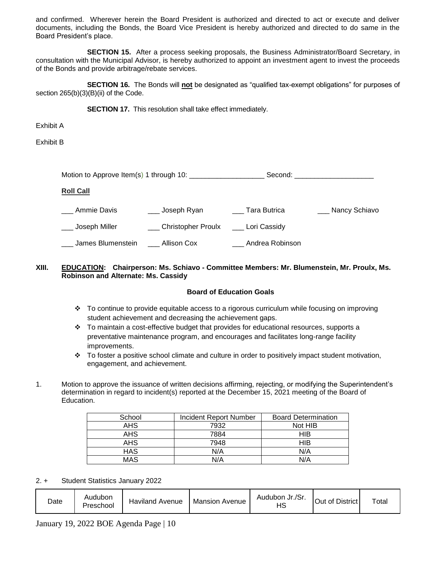and confirmed. Wherever herein the Board President is authorized and directed to act or execute and deliver documents, including the Bonds, the Board Vice President is hereby authorized and directed to do same in the Board President's place.

**SECTION 15.** After a process seeking proposals, the Business Administrator/Board Secretary, in consultation with the Municipal Advisor, is hereby authorized to appoint an investment agent to invest the proceeds of the Bonds and provide arbitrage/rebate services.

**SECTION 16.** The Bonds will **not** be designated as "qualified tax-exempt obligations" for purposes of section 265(b)(3)(B)(ii) of the Code.

**SECTION 17.** This resolution shall take effect immediately.

Exhibit A

Exhibit B

| Motion to Approve Item(s) 1 through 10: |                        | Second:         |                   |
|-----------------------------------------|------------------------|-----------------|-------------------|
| <b>Roll Call</b>                        |                        |                 |                   |
| Ammie Davis                             | __ Joseph Ryan         | Tara Butrica    | ___ Nancy Schiavo |
| Joseph Miller                           | ___ Christopher Proulx | Lori Cassidy    |                   |
| James Blumenstein                       | Allison Cox            | Andrea Robinson |                   |

## **XIII. EDUCATION: Chairperson: Ms. Schiavo - Committee Members: Mr. Blumenstein, Mr. Proulx, Ms. Robinson and Alternate: Ms. Cassidy**

#### **Board of Education Goals**

- To continue to provide equitable access to a rigorous curriculum while focusing on improving student achievement and decreasing the achievement gaps.
- \* To maintain a cost-effective budget that provides for educational resources, supports a preventative maintenance program, and encourages and facilitates long-range facility improvements.
- \* To foster a positive school climate and culture in order to positively impact student motivation, engagement, and achievement.
- 1. Motion to approve the issuance of written decisions affirming, rejecting, or modifying the Superintendent's determination in regard to incident(s) reported at the December 15, 2021 meeting of the Board of Education.

| School     | Incident Report Number | <b>Board Determination</b> |
|------------|------------------------|----------------------------|
| <b>AHS</b> | 7932                   | Not HIB                    |
| <b>AHS</b> | 7884                   | HIB                        |
| <b>AHS</b> | 7948                   | HIB                        |
| <b>HAS</b> | N/A                    | N/A                        |
| <b>MAS</b> | N/A                    | N/A                        |

#### 2. + Student Statistics January 2022

| Date | Audubon<br>Preschool | Haviland Avenue | <b>Mansion Avenue</b> | Audubon Jr./Sr.<br>הד | Out of District | Total |
|------|----------------------|-----------------|-----------------------|-----------------------|-----------------|-------|
|------|----------------------|-----------------|-----------------------|-----------------------|-----------------|-------|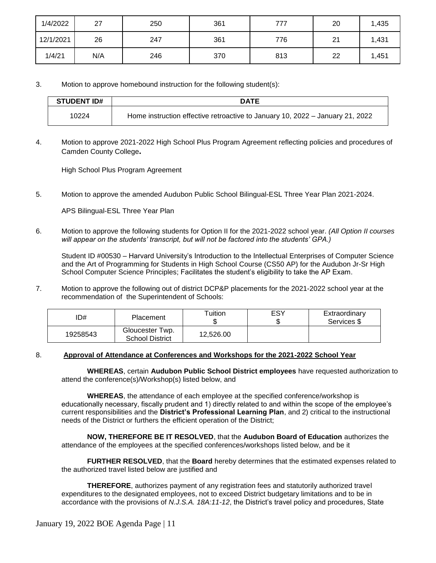| 1/4/2022  | 27  | 250 | 361 | 777 | 20 | 1,435 |
|-----------|-----|-----|-----|-----|----|-------|
| 12/1/2021 | 26  | 247 | 361 | 776 | 21 | 1,431 |
| 1/4/21    | N/A | 246 | 370 | 813 | 22 | 1,451 |

3. Motion to approve homebound instruction for the following student(s):

| <b>STUDENT ID#</b> | <b>DATE</b>                                                                   |
|--------------------|-------------------------------------------------------------------------------|
| 10224              | Home instruction effective retroactive to January 10, 2022 - January 21, 2022 |

4. Motion to approve 2021-2022 High School Plus Program Agreement reflecting policies and procedures of Camden County College**.** 

High School Plus Program Agreement

5. Motion to approve the amended Audubon Public School Bilingual-ESL Three Year Plan 2021-2024.

APS Bilingual-ESL Three Year Plan

6. Motion to approve the following students for Option II for the 2021-2022 school year. *(All Option II courses will appear on the students' transcript, but will not be factored into the students' GPA.)*

Student ID #00530 – Harvard University's Introduction to the Intellectual Enterprises of Computer Science and the Art of Programming for Students in High School Course (CS50 AP) for the Audubon Jr-Sr High School Computer Science Principles; Facilitates the student's eligibility to take the AP Exam.

7. Motion to approve the following out of district DCP&P placements for the 2021-2022 school year at the recommendation of the Superintendent of Schools:

| D#       | <b>Placement</b>                          | Tuition   | ESY<br>J. | Extraordinary<br>Services \$ |
|----------|-------------------------------------------|-----------|-----------|------------------------------|
| 19258543 | Gloucester Twp.<br><b>School District</b> | 12,526.00 |           |                              |

## 8. **Approval of Attendance at Conferences and Workshops for the 2021-2022 School Year**

 **WHEREAS**, certain **Audubon Public School District employees** have requested authorization to attend the conference(s)/Workshop(s) listed below, and

**WHEREAS**, the attendance of each employee at the specified conference/workshop is educationally necessary, fiscally prudent and 1) directly related to and within the scope of the employee's current responsibilities and the **District's Professional Learning Plan**, and 2) critical to the instructional needs of the District or furthers the efficient operation of the District;

**NOW, THEREFORE BE IT RESOLVED**, that the **Audubon Board of Education** authorizes the attendance of the employees at the specified conferences/workshops listed below, and be it

**FURTHER RESOLVED**, that the **Board** hereby determines that the estimated expenses related to the authorized travel listed below are justified and

**THEREFORE**, authorizes payment of any registration fees and statutorily authorized travel expenditures to the designated employees, not to exceed District budgetary limitations and to be in accordance with the provisions of *N.J.S.A. 18A:11-12*, the District's travel policy and procedures, State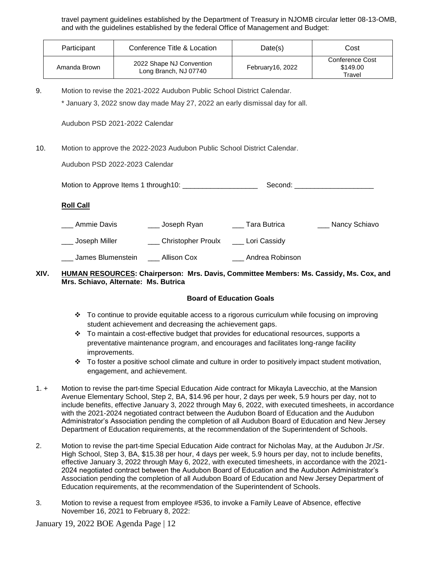travel payment guidelines established by the Department of Treasury in NJOMB circular letter 08-13-OMB, and with the guidelines established by the federal Office of Management and Budget:

| Participant  | Conference Title & Location                       | Date(s)          | Cost                                  |
|--------------|---------------------------------------------------|------------------|---------------------------------------|
| Amanda Brown | 2022 Shape NJ Convention<br>Long Branch, NJ 07740 | February16, 2022 | Conference Cost<br>\$149.00<br>Travel |

9. Motion to revise the 2021-2022 Audubon Public School District Calendar.

\* January 3, 2022 snow day made May 27, 2022 an early dismissal day for all.

Audubon PSD 2021-2022 Calendar

10. Motion to approve the 2022-2023 Audubon Public School District Calendar.

Audubon PSD 2022-2023 Calendar

Motion to Approve Items 1 through10: \_\_\_\_\_\_\_\_\_\_\_\_\_\_\_\_\_\_\_ Second: \_\_\_\_\_\_\_\_\_\_\_\_\_\_\_\_\_\_\_\_

### **Roll Call**

\_\_\_ Ammie Davis \_\_\_\_\_ \_\_\_\_ Joseph Ryan \_\_\_\_\_\_\_ Tara Butrica \_\_\_\_\_\_\_\_\_\_ Nancy Schiavo \_\_ Joseph Miller \_\_\_ \_\_\_ Christopher Proulx \_\_\_\_ Lori Cassidy \_\_\_ James Blumenstein \_\_\_ Allison Cox \_\_\_ Andrea Robinson

## **XIV. HUMAN RESOURCES: Chairperson: Mrs. Davis, Committee Members: Ms. Cassidy, Ms. Cox, and Mrs. Schiavo, Alternate: Ms. Butrica**

## **Board of Education Goals**

- To continue to provide equitable access to a rigorous curriculum while focusing on improving student achievement and decreasing the achievement gaps.
- $\div$  To maintain a cost-effective budget that provides for educational resources, supports a preventative maintenance program, and encourages and facilitates long-range facility improvements.
- $\cdot \cdot$  To foster a positive school climate and culture in order to positively impact student motivation, engagement, and achievement.
- 1. + Motion to revise the part-time Special Education Aide contract for Mikayla Lavecchio, at the Mansion Avenue Elementary School, Step 2, BA, \$14.96 per hour, 2 days per week, 5.9 hours per day, not to include benefits, effective January 3, 2022 through May 6, 2022, with executed timesheets, in accordance with the 2021-2024 negotiated contract between the Audubon Board of Education and the Audubon Administrator's Association pending the completion of all Audubon Board of Education and New Jersey Department of Education requirements, at the recommendation of the Superintendent of Schools.
- 2. Motion to revise the part-time Special Education Aide contract for Nicholas May, at the Audubon Jr./Sr. High School, Step 3, BA, \$15.38 per hour, 4 days per week, 5.9 hours per day, not to include benefits, effective January 3, 2022 through May 6, 2022, with executed timesheets, in accordance with the 2021- 2024 negotiated contract between the Audubon Board of Education and the Audubon Administrator's Association pending the completion of all Audubon Board of Education and New Jersey Department of Education requirements, at the recommendation of the Superintendent of Schools.
- 3. Motion to revise a request from employee #536, to invoke a Family Leave of Absence, effective November 16, 2021 to February 8, 2022: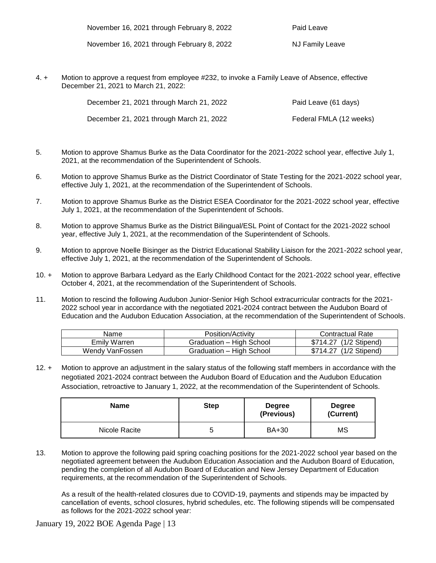| November 16, 2021 through February 8, 2022 |  |
|--------------------------------------------|--|
|--------------------------------------------|--|

Paid Leave

November 16, 2021 through February 8, 2022 NJ Family Leave

4. + Motion to approve a request from employee #232, to invoke a Family Leave of Absence, effective December 21, 2021 to March 21, 2022:

| December 21, 2021 through March 21, 2022 | Paid Leave (61 days)    |
|------------------------------------------|-------------------------|
| December 21, 2021 through March 21, 2022 | Federal FMLA (12 weeks) |

- 5. Motion to approve Shamus Burke as the Data Coordinator for the 2021-2022 school year, effective July 1, 2021, at the recommendation of the Superintendent of Schools.
- 6. Motion to approve Shamus Burke as the District Coordinator of State Testing for the 2021-2022 school year, effective July 1, 2021, at the recommendation of the Superintendent of Schools.
- 7. Motion to approve Shamus Burke as the District ESEA Coordinator for the 2021-2022 school year, effective July 1, 2021, at the recommendation of the Superintendent of Schools.
- 8. Motion to approve Shamus Burke as the District Bilingual/ESL Point of Contact for the 2021-2022 school year, effective July 1, 2021, at the recommendation of the Superintendent of Schools.
- 9. Motion to approve Noelle Bisinger as the District Educational Stability Liaison for the 2021-2022 school year, effective July 1, 2021, at the recommendation of the Superintendent of Schools.
- 10. + Motion to approve Barbara Ledyard as the Early Childhood Contact for the 2021-2022 school year, effective October 4, 2021, at the recommendation of the Superintendent of Schools.
- 11. Motion to rescind the following Audubon Junior-Senior High School extracurricular contracts for the 2021- 2022 school year in accordance with the negotiated 2021-2024 contract between the Audubon Board of Education and the Audubon Education Association, at the recommendation of the Superintendent of Schools.

| Name            | Position/Activity        | <b>Contractual Rate</b> |
|-----------------|--------------------------|-------------------------|
| Emily Warren    | Graduation – High School | \$714.27 (1/2 Stipend)  |
| Wendy VanFossen | Graduation - High School | \$714.27 (1/2 Stipend)  |

12. + Motion to approve an adjustment in the salary status of the following staff members in accordance with the negotiated 2021-2024 contract between the Audubon Board of Education and the Audubon Education Association, retroactive to January 1, 2022, at the recommendation of the Superintendent of Schools.

| <b>Name</b>   | <b>Step</b> | <b>Degree</b><br>(Previous) | <b>Degree</b><br>(Current) |
|---------------|-------------|-----------------------------|----------------------------|
| Nicole Racite | 5           | BA+30                       | MS                         |

13. Motion to approve the following paid spring coaching positions for the 2021-2022 school year based on the negotiated agreement between the Audubon Education Association and the Audubon Board of Education, pending the completion of all Audubon Board of Education and New Jersey Department of Education requirements, at the recommendation of the Superintendent of Schools.

As a result of the health-related closures due to COVID-19, payments and stipends may be impacted by cancellation of events, school closures, hybrid schedules, etc. The following stipends will be compensated as follows for the 2021-2022 school year: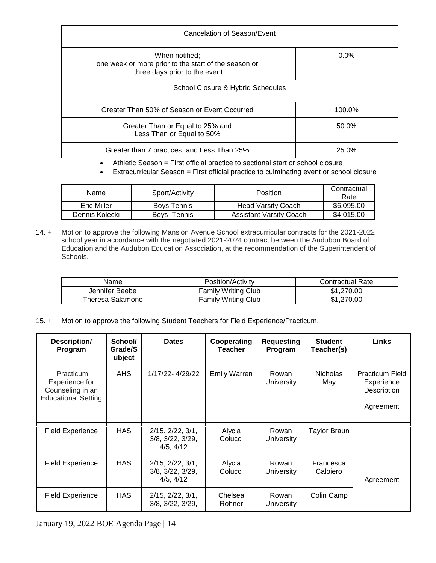| When notified;<br>one week or more prior to the start of the season or<br>three days prior to the event | $0.0\%$ |
|---------------------------------------------------------------------------------------------------------|---------|
| School Closure & Hybrid Schedules                                                                       |         |
| Greater Than 50% of Season or Event Occurred                                                            | 100.0%  |
| Greater Than or Equal to 25% and<br>Less Than or Equal to 50%                                           | 50.0%   |
| Greater than 7 practices and Less Than 25%                                                              | 25.0%   |

Athletic Season = First official practice to sectional start or school closure

Extracurricular Season = First official practice to culminating event or school closure

| Name           | Sport/Activity     | <b>Position</b>                | Contractual<br>Rate |
|----------------|--------------------|--------------------------------|---------------------|
| Eric Miller    | <b>Boys Tennis</b> | <b>Head Varsity Coach</b>      | \$6,095.00          |
| Dennis Kolecki | Tennis<br>Bovs     | <b>Assistant Varsity Coach</b> | \$4,015.00          |

14. + Motion to approve the following Mansion Avenue School extracurricular contracts for the 2021-2022 school year in accordance with the negotiated 2021-2024 contract between the Audubon Board of Education and the Audubon Education Association, at the recommendation of the Superintendent of Schools.

| Name             | Position/Activity          | Contractual Rate |
|------------------|----------------------------|------------------|
| Jennifer Beebe   | <b>Family Writing Club</b> | \$1,270.00       |
| Theresa Salamone | <b>Family Writing Club</b> | .270.00          |

15. + Motion to approve the following Student Teachers for Field Experience/Practicum.

| Description/<br>Program                                                       | School/<br>Grade/S<br>ubject | <b>Dates</b>                                                        | Cooperating<br><b>Teacher</b> | <b>Requesting</b><br>Program | <b>Student</b><br>Teacher(s) | <b>Links</b>                                                     |
|-------------------------------------------------------------------------------|------------------------------|---------------------------------------------------------------------|-------------------------------|------------------------------|------------------------------|------------------------------------------------------------------|
| Practicum<br>Experience for<br>Counseling in an<br><b>Educational Setting</b> | AHS.                         | 1/17/22-4/29/22                                                     | <b>Emily Warren</b>           | Rowan<br><b>University</b>   | <b>Nicholas</b><br>May       | <b>Practicum Field</b><br>Experience<br>Description<br>Agreement |
| <b>Field Experience</b>                                                       | <b>HAS</b>                   | $2/15$ , $2/22$ , $3/1$ ,<br>$3/8$ , $3/22$ , $3/29$ ,<br>4/5, 4/12 | Alycia<br>Colucci             | Rowan<br><b>University</b>   | Taylor Braun                 |                                                                  |
| <b>Field Experience</b>                                                       | <b>HAS</b>                   | $2/15$ , $2/22$ , $3/1$ ,<br>$3/8$ , $3/22$ , $3/29$ ,<br>4/5, 4/12 | Alycia<br>Colucci             | Rowan<br>University          | Francesca<br>Caloiero        | Agreement                                                        |
| <b>Field Experience</b>                                                       | <b>HAS</b>                   | $2/15$ , $2/22$ , $3/1$ ,<br>3/8, 3/22, 3/29,                       | Chelsea<br>Rohner             | Rowan<br>University          | Colin Camp                   |                                                                  |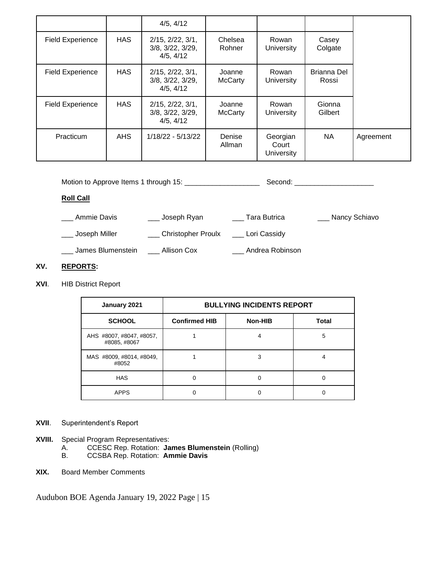|                         |            | 4/5, 4/12                                                           |                          |                                        |                      |           |
|-------------------------|------------|---------------------------------------------------------------------|--------------------------|----------------------------------------|----------------------|-----------|
| <b>Field Experience</b> | <b>HAS</b> | $2/15$ , $2/22$ , $3/1$ ,<br>$3/8$ , $3/22$ , $3/29$ ,<br>4/5, 4/12 | Chelsea<br>Rohner        | Rowan<br><b>University</b>             | Casey<br>Colgate     |           |
| <b>Field Experience</b> | <b>HAS</b> | $2/15$ , $2/22$ , $3/1$ ,<br>$3/8$ , $3/22$ , $3/29$ ,<br>4/5, 4/12 | Joanne<br><b>McCarty</b> | Rowan<br><b>University</b>             | Brianna Del<br>Rossi |           |
| <b>Field Experience</b> | <b>HAS</b> | $2/15$ , $2/22$ , $3/1$ ,<br>$3/8$ , $3/22$ , $3/29$ ,<br>4/5, 4/12 | Joanne<br><b>McCarty</b> | Rowan<br>University                    | Gionna<br>Gilbert    |           |
| Practicum               | AHS        | 1/18/22 - 5/13/22                                                   | Denise<br>Allman         | Georgian<br>Court<br><b>University</b> | <b>NA</b>            | Agreement |

| Motion to Approve Items 1 through 15: [14] Motion to Approve Items 1 through 15: |                    |                 | Second: _______________________ |
|----------------------------------------------------------------------------------|--------------------|-----------------|---------------------------------|
| <b>Roll Call</b>                                                                 |                    |                 |                                 |
| Ammie Davis                                                                      | ___ Joseph Ryan    | Tara Butrica    | ___ Nancy Schiavo               |
| Joseph Miller                                                                    | Christopher Proulx | Lori Cassidy    |                                 |
| James Blumenstein                                                                | Allison Cox        | Andrea Robinson |                                 |

## **XV. REPORTS:**

**XVI**. HIB District Report

| January 2021                             | <b>BULLYING INCIDENTS REPORT</b> |         |       |  |  |  |
|------------------------------------------|----------------------------------|---------|-------|--|--|--|
| <b>SCHOOL</b>                            | <b>Confirmed HIB</b>             | Non-HIB | Total |  |  |  |
| AHS #8007, #8047, #8057,<br>#8085, #8067 |                                  |         | 5     |  |  |  |
| MAS #8009, #8014, #8049,<br>#8052        |                                  | 3       |       |  |  |  |
| <b>HAS</b>                               |                                  |         |       |  |  |  |
| <b>APPS</b>                              |                                  |         |       |  |  |  |

# **XVII**. Superintendent's Report

- **XVIII.** Special Program Representatives:<br>A. CCESC Rep. Rotation: Ja
	- A. CCESC Rep. Rotation: **James Blumenstein** (Rolling)
- B. CCSBA Rep. Rotation: **Ammie Davis**
	- **XIX.** Board Member Comments

Audubon BOE Agenda January 19, 2022 Page | 15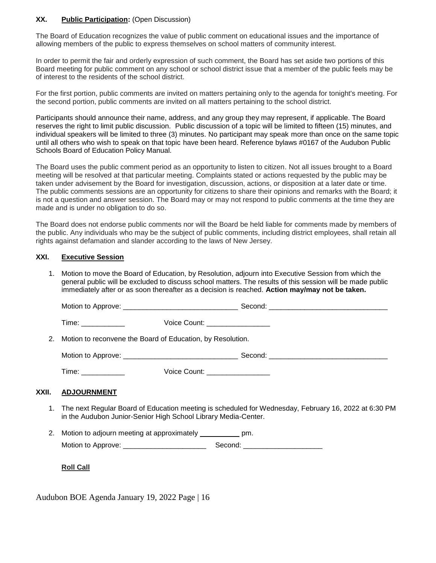## **XX. Public Participation:** (Open Discussion)

The Board of Education recognizes the value of public comment on educational issues and the importance of allowing members of the public to express themselves on school matters of community interest.

In order to permit the fair and orderly expression of such comment, the Board has set aside two portions of this Board meeting for public comment on any school or school district issue that a member of the public feels may be of interest to the residents of the school district.

For the first portion, public comments are invited on matters pertaining only to the agenda for tonight's meeting. For the second portion, public comments are invited on all matters pertaining to the school district.

Participants should announce their name, address, and any group they may represent, if applicable. The Board reserves the right to limit public discussion. Public discussion of a topic will be limited to fifteen (15) minutes, and individual speakers will be limited to three (3) minutes. No participant may speak more than once on the same topic until all others who wish to speak on that topic have been heard. Reference bylaws #0167 of the Audubon Public Schools Board of Education Policy Manual.

The Board uses the public comment period as an opportunity to listen to citizen. Not all issues brought to a Board meeting will be resolved at that particular meeting. Complaints stated or actions requested by the public may be taken under advisement by the Board for investigation, discussion, actions, or disposition at a later date or time. The public comments sessions are an opportunity for citizens to share their opinions and remarks with the Board; it is not a question and answer session. The Board may or may not respond to public comments at the time they are made and is under no obligation to do so.

The Board does not endorse public comments nor will the Board be held liable for comments made by members of the public. Any individuals who may be the subject of public comments, including district employees, shall retain all rights against defamation and slander according to the laws of New Jersey.

#### **XXI. Executive Session**

1. Motion to move the Board of Education, by Resolution, adjourn into Executive Session from which the general public will be excluded to discuss school matters. The results of this session will be made public immediately after or as soon thereafter as a decision is reached. **Action may/may not be taken.**

|       | Time: _____________                                            |  | Voice Count: _________________  |                                                                                                         |  |  |
|-------|----------------------------------------------------------------|--|---------------------------------|---------------------------------------------------------------------------------------------------------|--|--|
|       | 2. Motion to reconvene the Board of Education, by Resolution.  |  |                                 |                                                                                                         |  |  |
|       |                                                                |  |                                 |                                                                                                         |  |  |
|       | Time: ____________                                             |  | Voice Count: __________________ |                                                                                                         |  |  |
| XXII. | <b>ADJOURNMENT</b>                                             |  |                                 |                                                                                                         |  |  |
|       | in the Audubon Junior-Senior High School Library Media-Center. |  |                                 | 1. The next Regular Board of Education meeting is scheduled for Wednesday, February 16, 2022 at 6:30 PM |  |  |
|       | 2. Motion to adjourn meeting at approximately ____________ pm. |  |                                 |                                                                                                         |  |  |
|       |                                                                |  |                                 |                                                                                                         |  |  |

**Roll Call**

Audubon BOE Agenda January 19, 2022 Page | 16